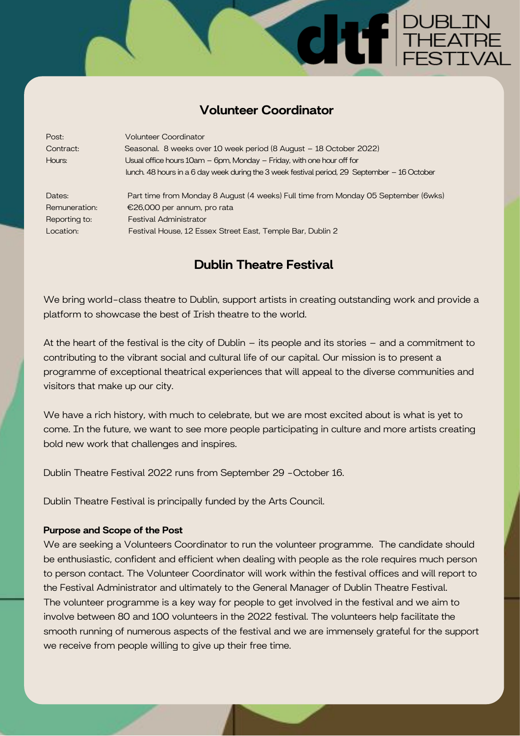## Volunteer Coordinator

SE DUBLIN<br>SE THEATRE

| Post:         | <b>Volunteer Coordinator</b>                                                                 |
|---------------|----------------------------------------------------------------------------------------------|
| Contract:     | Seasonal. 8 weeks over 10 week period (8 August - 18 October 2022)                           |
| Hours:        | Usual office hours 10am - 6pm, Monday - Friday, with one hour off for                        |
|               | lunch. 48 hours in a 6 day week during the 3 week festival period, 29 September – 16 October |
|               |                                                                                              |
| Dates:        | Part time from Monday 8 August (4 weeks) Full time from Monday 05 September (6wks)           |
| Remuneration: | €26,000 per annum, pro rata                                                                  |
| Reporting to: | <b>Festival Administrator</b>                                                                |
| Location:     | Festival House, 12 Essex Street East, Temple Bar, Dublin 2                                   |

# Dublin Theatre Festival

We bring world-class theatre to Dublin, support artists in creating outstanding work and provide a platform to showcase the best of Irish theatre to the world.

At the heart of the festival is the city of Dublin – its people and its stories – and a commitment to contributing to the vibrant social and cultural life of our capital. Our mission is to present a programme of exceptional theatrical experiences that will appeal to the diverse communities and visitors that make up our city.

We have a rich history, with much to celebrate, but we are most excited about is what is yet to come. In the future, we want to see more people participating in culture and more artists creating bold new work that challenges and inspires.

Dublin Theatre Festival 2022 runs from September 29 -October 16.

Dublin Theatre Festival is principally funded by the Arts Council.

#### Purpose and Scope of the Post

We are seeking a Volunteers Coordinator to run the volunteer programme. The candidate should be enthusiastic, confident and efficient when dealing with people as the role requires much person to person contact. The Volunteer Coordinator will work within the festival offices and will report to the Festival Administrator and ultimately to the General Manager of Dublin Theatre Festival. The volunteer programme is a key way for people to get involved in the festival and we aim to involve between 80 and 100 volunteers in the 2022 festival. The volunteers help facilitate the smooth running of numerous aspects of the festival and we are immensely grateful for the support we receive from people willing to give up their free time.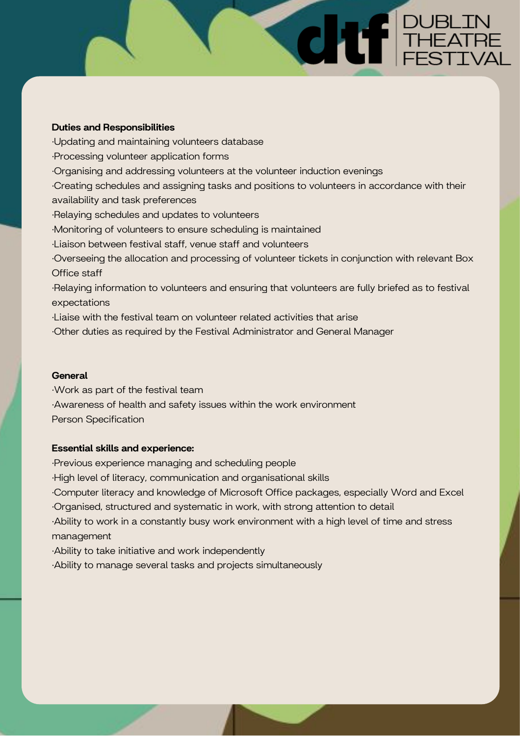#### Duties and Responsibilities

·Updating and maintaining volunteers database

·Processing volunteer application forms

·Organising and addressing volunteers at the volunteer induction evenings

·Creating schedules and assigning tasks and positions to volunteers in accordance with their availability and task preferences

**CHILE PUBLIN** 

·Relaying schedules and updates to volunteers

·Monitoring of volunteers to ensure scheduling is maintained

·Liaison between festival staff, venue staff and volunteers

·Overseeing the allocation and processing of volunteer tickets in conjunction with relevant Box Office staff

·Relaying information to volunteers and ensuring that volunteers are fully briefed as to festival expectations

·Liaise with the festival team on volunteer related activities that arise

·Other duties as required by the Festival Administrator and General Manager

#### **General**

·Work as part of the festival team

·Awareness of health and safety issues within the work environment

Person Specification

#### Essential skills and experience:

·Previous experience managing and scheduling people

·High level of literacy, communication and organisational skills

·Computer literacy and knowledge of Microsoft Office packages, especially Word and Excel

·Organised, structured and systematic in work, with strong attention to detail

·Ability to work in a constantly busy work environment with a high level of time and stress management

·Ability to take initiative and work independently

·Ability to manage several tasks and projects simultaneously